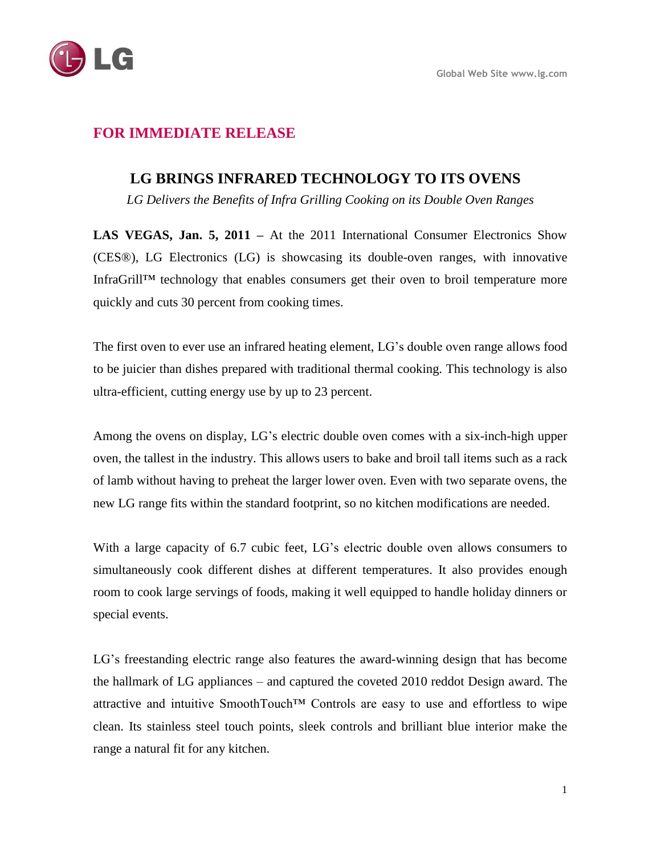

# **FOR IMMEDIATE RELEASE**

## **LG BRINGS INFRARED TECHNOLOGY TO ITS OVENS**

*LG Delivers the Benefits of Infra Grilling Cooking on its Double Oven Ranges*

**LAS VEGAS, Jan. 5, 2011 –** At the 2011 International Consumer Electronics Show (CES® ), LG Electronics (LG) is showcasing its double-oven ranges, with innovative InfraGrill™ technology that enables consumers get their oven to broil temperature more quickly and cuts 30 percent from cooking times.

The first oven to ever use an infrared heating element, LG's double oven range allows food to be juicier than dishes prepared with traditional thermal cooking. This technology is also ultra-efficient, cutting energy use by up to 23 percent.

Among the ovens on display, LG's electric double oven comes with a six-inch-high upper oven, the tallest in the industry. This allows users to bake and broil tall items such as a rack of lamb without having to preheat the larger lower oven. Even with two separate ovens, the new LG range fits within the standard footprint, so no kitchen modifications are needed.

With a large capacity of 6.7 cubic feet, LG's electric double oven allows consumers to simultaneously cook different dishes at different temperatures. It also provides enough room to cook large servings of foods, making it well equipped to handle holiday dinners or special events.

LG's freestanding electric range also features the award-winning design that has become the hallmark of LG appliances – and captured the coveted 2010 reddot Design award. The attractive and intuitive SmoothTouch™ Controls are easy to use and effortless to wipe clean. Its stainless steel touch points, sleek controls and brilliant blue interior make the range a natural fit for any kitchen.